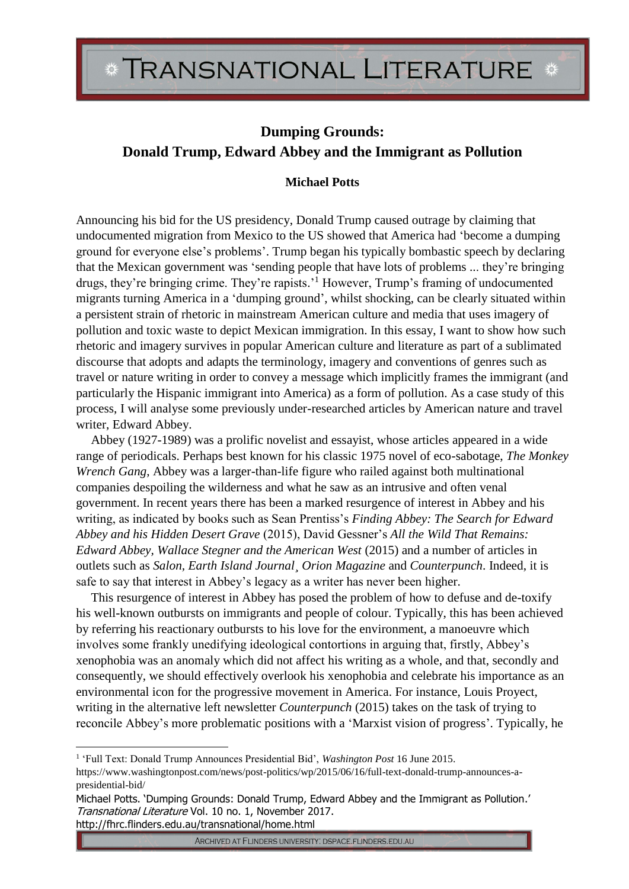## **Dumping Grounds: Donald Trump, Edward Abbey and the Immigrant as Pollution**

## **Michael Potts**

Announcing his bid for the US presidency, Donald Trump caused outrage by claiming that undocumented migration from Mexico to the US showed that America had 'become a dumping ground for everyone else's problems'. Trump began his typically bombastic speech by declaring that the Mexican government was 'sending people that have lots of problems ... they're bringing drugs, they're bringing crime. They're rapists.'<sup>1</sup> However, Trump's framing of undocumented migrants turning America in a 'dumping ground', whilst shocking, can be clearly situated within a persistent strain of rhetoric in mainstream American culture and media that uses imagery of pollution and toxic waste to depict Mexican immigration. In this essay, I want to show how such rhetoric and imagery survives in popular American culture and literature as part of a sublimated discourse that adopts and adapts the terminology, imagery and conventions of genres such as travel or nature writing in order to convey a message which implicitly frames the immigrant (and particularly the Hispanic immigrant into America) as a form of pollution. As a case study of this process, I will analyse some previously under-researched articles by American nature and travel writer, Edward Abbey.

Abbey (1927-1989) was a prolific novelist and essayist, whose articles appeared in a wide range of periodicals. Perhaps best known for his classic 1975 novel of eco-sabotage, *The Monkey Wrench Gang*, Abbey was a larger-than-life figure who railed against both multinational companies despoiling the wilderness and what he saw as an intrusive and often venal government. In recent years there has been a marked resurgence of interest in Abbey and his writing, as indicated by books such as Sean Prentiss's *Finding Abbey: The Search for Edward Abbey and his Hidden Desert Grave* (2015), David Gessner's *All the Wild That Remains: Edward Abbey, Wallace Stegner and the American West* (2015) and a number of articles in outlets such as *Salon, Earth Island Journal¸ Orion Magazine* and *Counterpunch*. Indeed, it is safe to say that interest in Abbey's legacy as a writer has never been higher.

This resurgence of interest in Abbey has posed the problem of how to defuse and de-toxify his well-known outbursts on immigrants and people of colour. Typically, this has been achieved by referring his reactionary outbursts to his love for the environment, a manoeuvre which involves some frankly unedifying ideological contortions in arguing that, firstly, Abbey's xenophobia was an anomaly which did not affect his writing as a whole, and that, secondly and consequently, we should effectively overlook his xenophobia and celebrate his importance as an environmental icon for the progressive movement in America. For instance, Louis Proyect, writing in the alternative left newsletter *Counterpunch* (2015) takes on the task of trying to reconcile Abbey's more problematic positions with a 'Marxist vision of progress'. Typically, he

<u>.</u>

<sup>&</sup>lt;sup>1</sup> 'Full Text: Donald Trump Announces Presidential Bid', *Washington Post* 16 June 2015.

https://www.washingtonpost.com/news/post-politics/wp/2015/06/16/full-text-donald-trump-announces-apresidential-bid/

Michael Potts. 'Dumping Grounds: Donald Trump, Edward Abbey and the Immigrant as Pollution.' Transnational Literature Vol. 10 no. 1, November 2017. http://fhrc.flinders.edu.au/transnational/home.html

ARCHIVED AT FLINDERS UNIVERSITY: DSPACE.FLINDERS.EDU.AU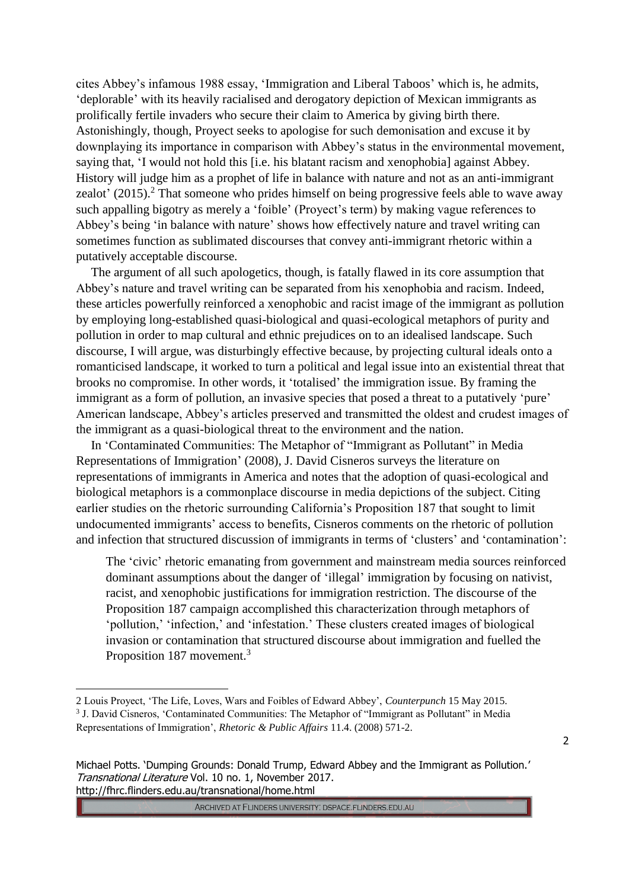cites Abbey's infamous 1988 essay, 'Immigration and Liberal Taboos' which is, he admits, 'deplorable' with its heavily racialised and derogatory depiction of Mexican immigrants as prolifically fertile invaders who secure their claim to America by giving birth there. Astonishingly, though, Proyect seeks to apologise for such demonisation and excuse it by downplaying its importance in comparison with Abbey's status in the environmental movement, saying that, 'I would not hold this [i.e. his blatant racism and xenophobia] against Abbey. History will judge him as a prophet of life in balance with nature and not as an anti-immigrant zealot'  $(2015)$ .<sup>2</sup> That someone who prides himself on being progressive feels able to wave away such appalling bigotry as merely a 'foible' (Proyect's term) by making vague references to Abbey's being 'in balance with nature' shows how effectively nature and travel writing can sometimes function as sublimated discourses that convey anti-immigrant rhetoric within a putatively acceptable discourse.

The argument of all such apologetics, though, is fatally flawed in its core assumption that Abbey's nature and travel writing can be separated from his xenophobia and racism. Indeed, these articles powerfully reinforced a xenophobic and racist image of the immigrant as pollution by employing long-established quasi-biological and quasi-ecological metaphors of purity and pollution in order to map cultural and ethnic prejudices on to an idealised landscape. Such discourse, I will argue, was disturbingly effective because, by projecting cultural ideals onto a romanticised landscape, it worked to turn a political and legal issue into an existential threat that brooks no compromise. In other words, it 'totalised' the immigration issue. By framing the immigrant as a form of pollution, an invasive species that posed a threat to a putatively 'pure' American landscape, Abbey's articles preserved and transmitted the oldest and crudest images of the immigrant as a quasi-biological threat to the environment and the nation.

In 'Contaminated Communities: The Metaphor of "Immigrant as Pollutant" in Media Representations of Immigration' (2008), J. David Cisneros surveys the literature on representations of immigrants in America and notes that the adoption of quasi-ecological and biological metaphors is a commonplace discourse in media depictions of the subject. Citing earlier studies on the rhetoric surrounding California's Proposition 187 that sought to limit undocumented immigrants' access to benefits, Cisneros comments on the rhetoric of pollution and infection that structured discussion of immigrants in terms of 'clusters' and 'contamination':

The 'civic' rhetoric emanating from government and mainstream media sources reinforced dominant assumptions about the danger of 'illegal' immigration by focusing on nativist, racist, and xenophobic justifications for immigration restriction. The discourse of the Proposition 187 campaign accomplished this characterization through metaphors of 'pollution,' 'infection,' and 'infestation.' These clusters created images of biological invasion or contamination that structured discourse about immigration and fuelled the Proposition 187 movement.<sup>3</sup>

<u>.</u>

ARCHIVED AT FLINDERS UNIVERSITY: DSPACE.FLINDERS.EDU.AU

<sup>2</sup> Louis Proyect, 'The Life, Loves, Wars and Foibles of Edward Abbey', *Counterpunch* 15 May 2015. <sup>3</sup> J. David Cisneros, 'Contaminated Communities: The Metaphor of "Immigrant as Pollutant" in Media Representations of Immigration', *Rhetoric & Public Affairs* 11.4. (2008) 571-2.

Michael Potts. 'Dumping Grounds: Donald Trump, Edward Abbey and the Immigrant as Pollution.' Transnational Literature Vol. 10 no. 1, November 2017. http://fhrc.flinders.edu.au/transnational/home.html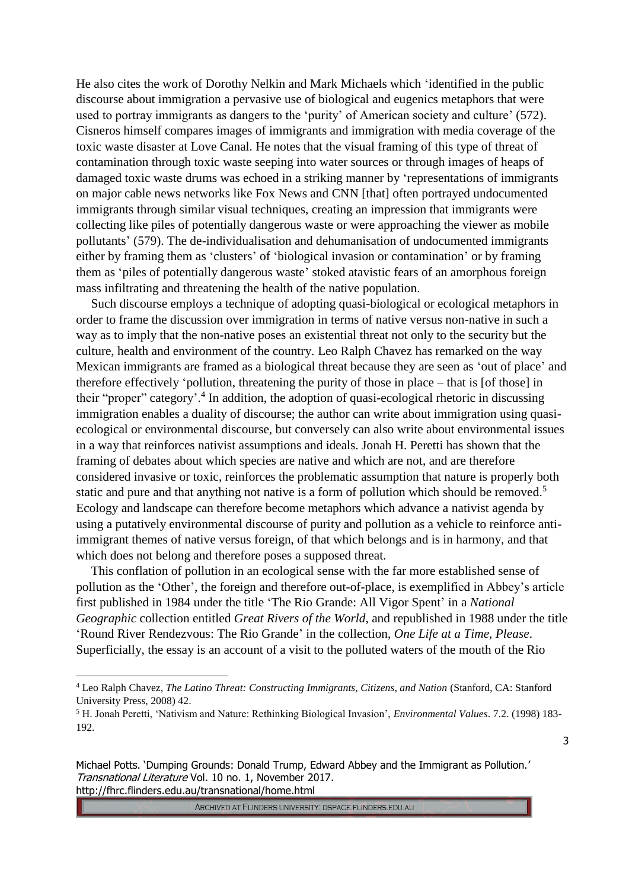He also cites the work of Dorothy Nelkin and Mark Michaels which 'identified in the public discourse about immigration a pervasive use of biological and eugenics metaphors that were used to portray immigrants as dangers to the 'purity' of American society and culture' (572). Cisneros himself compares images of immigrants and immigration with media coverage of the toxic waste disaster at Love Canal. He notes that the visual framing of this type of threat of contamination through toxic waste seeping into water sources or through images of heaps of damaged toxic waste drums was echoed in a striking manner by 'representations of immigrants on major cable news networks like Fox News and CNN [that] often portrayed undocumented immigrants through similar visual techniques, creating an impression that immigrants were collecting like piles of potentially dangerous waste or were approaching the viewer as mobile pollutants' (579). The de-individualisation and dehumanisation of undocumented immigrants either by framing them as 'clusters' of 'biological invasion or contamination' or by framing them as 'piles of potentially dangerous waste' stoked atavistic fears of an amorphous foreign mass infiltrating and threatening the health of the native population.

Such discourse employs a technique of adopting quasi-biological or ecological metaphors in order to frame the discussion over immigration in terms of native versus non-native in such a way as to imply that the non-native poses an existential threat not only to the security but the culture, health and environment of the country. Leo Ralph Chavez has remarked on the way Mexican immigrants are framed as a biological threat because they are seen as 'out of place' and therefore effectively 'pollution, threatening the purity of those in place – that is [of those] in their "proper" category'. 4 In addition, the adoption of quasi-ecological rhetoric in discussing immigration enables a duality of discourse; the author can write about immigration using quasiecological or environmental discourse, but conversely can also write about environmental issues in a way that reinforces nativist assumptions and ideals. Jonah H. Peretti has shown that the framing of debates about which species are native and which are not, and are therefore considered invasive or toxic, reinforces the problematic assumption that nature is properly both static and pure and that anything not native is a form of pollution which should be removed.<sup>5</sup> Ecology and landscape can therefore become metaphors which advance a nativist agenda by using a putatively environmental discourse of purity and pollution as a vehicle to reinforce antiimmigrant themes of native versus foreign, of that which belongs and is in harmony, and that which does not belong and therefore poses a supposed threat.

This conflation of pollution in an ecological sense with the far more established sense of pollution as the 'Other', the foreign and therefore out-of-place, is exemplified in Abbey's article first published in 1984 under the title 'The Rio Grande: All Vigor Spent' in a *National Geographic* collection entitled *Great Rivers of the World*, and republished in 1988 under the title 'Round River Rendezvous: The Rio Grande' in the collection, *One Life at a Time, Please*. Superficially, the essay is an account of a visit to the polluted waters of the mouth of the Rio

<u>.</u>

ARCHIVED AT FLINDERS UNIVERSITY: DSPACE.FLINDERS.EDU.AU

<sup>4</sup> Leo Ralph Chavez, *The Latino Threat: Constructing Immigrants, Citizens, and Nation* (Stanford, CA: Stanford University Press, 2008) 42.

<sup>5</sup> H. Jonah Peretti, 'Nativism and Nature: Rethinking Biological Invasion', *Environmental Values*. 7.2. (1998) 183- 192.

Michael Potts. 'Dumping Grounds: Donald Trump, Edward Abbey and the Immigrant as Pollution.' Transnational Literature Vol. 10 no. 1, November 2017. http://fhrc.flinders.edu.au/transnational/home.html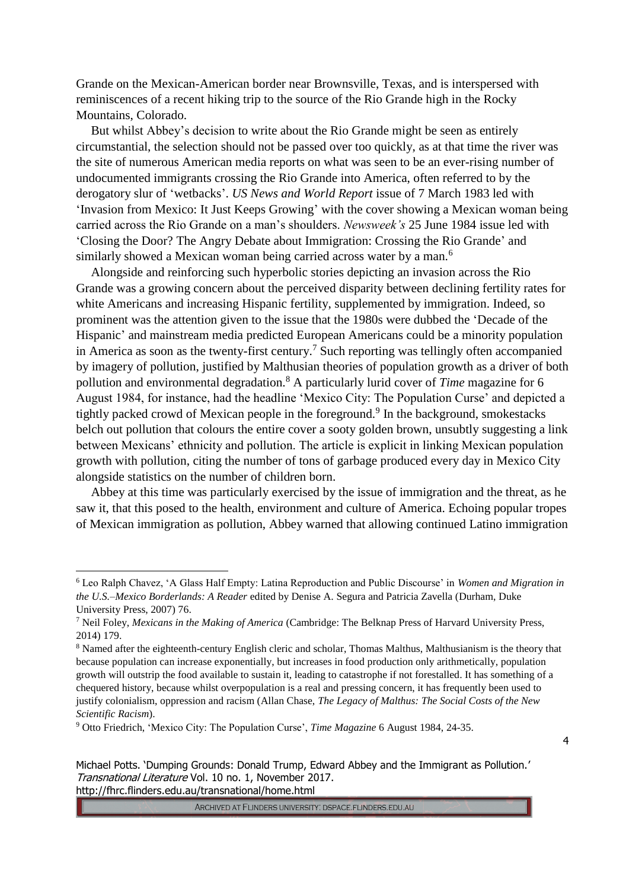Grande on the Mexican-American border near Brownsville, Texas, and is interspersed with reminiscences of a recent hiking trip to the source of the Rio Grande high in the Rocky Mountains, Colorado.

But whilst Abbey's decision to write about the Rio Grande might be seen as entirely circumstantial, the selection should not be passed over too quickly, as at that time the river was the site of numerous American media reports on what was seen to be an ever-rising number of undocumented immigrants crossing the Rio Grande into America, often referred to by the derogatory slur of 'wetbacks'. *US News and World Report* issue of 7 March 1983 led with 'Invasion from Mexico: It Just Keeps Growing' with the cover showing a Mexican woman being carried across the Rio Grande on a man's shoulders. *Newsweek's* 25 June 1984 issue led with 'Closing the Door? The Angry Debate about Immigration: Crossing the Rio Grande' and similarly showed a Mexican woman being carried across water by a man.<sup>6</sup>

Alongside and reinforcing such hyperbolic stories depicting an invasion across the Rio Grande was a growing concern about the perceived disparity between declining fertility rates for white Americans and increasing Hispanic fertility, supplemented by immigration. Indeed, so prominent was the attention given to the issue that the 1980s were dubbed the 'Decade of the Hispanic' and mainstream media predicted European Americans could be a minority population in America as soon as the twenty-first century.<sup>7</sup> Such reporting was tellingly often accompanied by imagery of pollution, justified by Malthusian theories of population growth as a driver of both pollution and environmental degradation.<sup>8</sup> A particularly lurid cover of *Time* magazine for 6 August 1984, for instance, had the headline 'Mexico City: The Population Curse' and depicted a tightly packed crowd of Mexican people in the foreground.<sup>9</sup> In the background, smokestacks belch out pollution that colours the entire cover a sooty golden brown, unsubtly suggesting a link between Mexicans' ethnicity and pollution. The article is explicit in linking Mexican population growth with pollution, citing the number of tons of garbage produced every day in Mexico City alongside statistics on the number of children born.

Abbey at this time was particularly exercised by the issue of immigration and the threat, as he saw it, that this posed to the health, environment and culture of America. Echoing popular tropes of Mexican immigration as pollution, Abbey warned that allowing continued Latino immigration

<u>.</u>

<sup>6</sup> Leo Ralph Chavez, 'A Glass Half Empty: Latina Reproduction and Public Discourse' in *Women and Migration in the U.S.–Mexico Borderlands: A Reader* edited by Denise A. Segura and Patricia Zavella (Durham, Duke University Press, 2007) 76.

<sup>7</sup> Neil Foley, *Mexicans in the Making of America* (Cambridge: The Belknap Press of Harvard University Press, 2014) 179.

<sup>8</sup> Named after the eighteenth-century English cleric and scholar, Thomas Malthus, Malthusianism is the theory that because population can increase exponentially, but increases in food production only arithmetically, population growth will outstrip the food available to sustain it, leading to catastrophe if not forestalled. It has something of a chequered history, because whilst overpopulation is a real and pressing concern, it has frequently been used to justify colonialism, oppression and racism (Allan Chase, *The Legacy of Malthus: The Social Costs of the New Scientific Racism*).

<sup>9</sup> Otto Friedrich, 'Mexico City: The Population Curse', *Time Magazine* 6 August 1984, 24-35.

Michael Potts. 'Dumping Grounds: Donald Trump, Edward Abbey and the Immigrant as Pollution.' Transnational Literature Vol. 10 no. 1, November 2017. http://fhrc.flinders.edu.au/transnational/home.html

<sup>4</sup>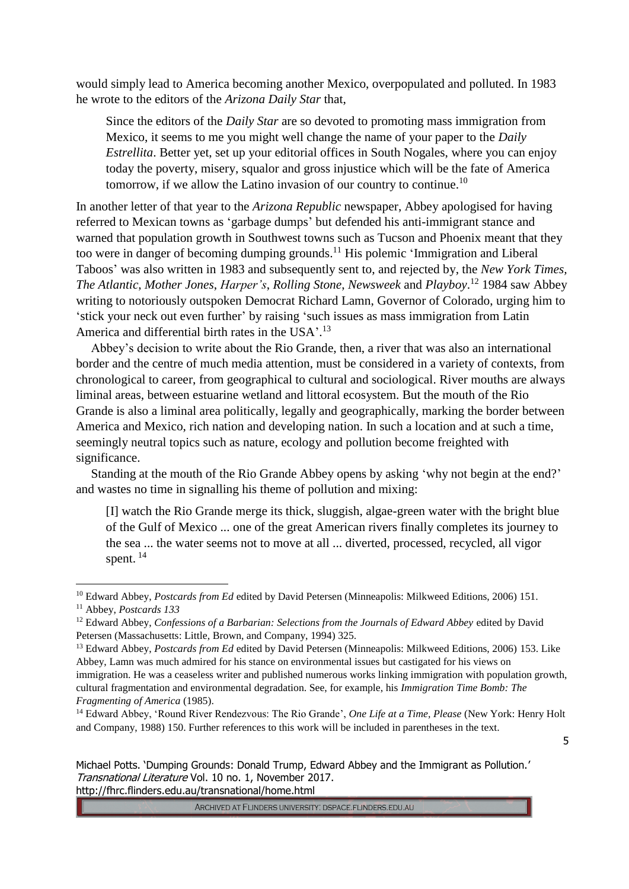would simply lead to America becoming another Mexico, overpopulated and polluted. In 1983 he wrote to the editors of the *Arizona Daily Star* that,

Since the editors of the *Daily Star* are so devoted to promoting mass immigration from Mexico, it seems to me you might well change the name of your paper to the *Daily Estrellita*. Better yet, set up your editorial offices in South Nogales, where you can enjoy today the poverty, misery, squalor and gross injustice which will be the fate of America tomorrow, if we allow the Latino invasion of our country to continue.<sup>10</sup>

In another letter of that year to the *Arizona Republic* newspaper, Abbey apologised for having referred to Mexican towns as 'garbage dumps' but defended his anti-immigrant stance and warned that population growth in Southwest towns such as Tucson and Phoenix meant that they too were in danger of becoming dumping grounds.<sup>11</sup> His polemic 'Immigration and Liberal Taboos' was also written in 1983 and subsequently sent to, and rejected by, the *New York Times, The Atlantic*, *Mother Jones*, *Harper's*, *Rolling Stone*, *Newsweek* and *Playboy*. <sup>12</sup> 1984 saw Abbey writing to notoriously outspoken Democrat Richard Lamn, Governor of Colorado, urging him to 'stick your neck out even further' by raising 'such issues as mass immigration from Latin America and differential birth rates in the USA'.<sup>13</sup>

Abbey's decision to write about the Rio Grande, then, a river that was also an international border and the centre of much media attention, must be considered in a variety of contexts, from chronological to career, from geographical to cultural and sociological. River mouths are always liminal areas, between estuarine wetland and littoral ecosystem. But the mouth of the Rio Grande is also a liminal area politically, legally and geographically, marking the border between America and Mexico, rich nation and developing nation. In such a location and at such a time, seemingly neutral topics such as nature, ecology and pollution become freighted with significance.

Standing at the mouth of the Rio Grande Abbey opens by asking 'why not begin at the end?' and wastes no time in signalling his theme of pollution and mixing:

[I] watch the Rio Grande merge its thick, sluggish, algae-green water with the bright blue of the Gulf of Mexico ... one of the great American rivers finally completes its journey to the sea ... the water seems not to move at all ... diverted, processed, recycled, all vigor spent.<sup>14</sup>

<u>.</u>

Michael Potts. 'Dumping Grounds: Donald Trump, Edward Abbey and the Immigrant as Pollution.' Transnational Literature Vol. 10 no. 1, November 2017. http://fhrc.flinders.edu.au/transnational/home.html

<sup>10</sup> Edward Abbey, *Postcards from Ed* edited by David Petersen (Minneapolis: Milkweed Editions, 2006) 151. <sup>11</sup> Abbey, *Postcards 133*

<sup>&</sup>lt;sup>12</sup> Edward Abbey, *Confessions of a Barbarian: Selections from the Journals of Edward Abbey edited by David* Petersen (Massachusetts: Little, Brown, and Company, 1994) 325.

<sup>13</sup> Edward Abbey, *Postcards from Ed* edited by David Petersen (Minneapolis: Milkweed Editions, 2006) 153. Like Abbey, Lamn was much admired for his stance on environmental issues but castigated for his views on immigration. He was a ceaseless writer and published numerous works linking immigration with population growth, cultural fragmentation and environmental degradation. See, for example, his *Immigration Time Bomb: The Fragmenting of America* (1985).

<sup>14</sup> Edward Abbey, 'Round River Rendezvous: The Rio Grande', *One Life at a Time, Please* (New York: Henry Holt and Company, 1988) 150. Further references to this work will be included in parentheses in the text.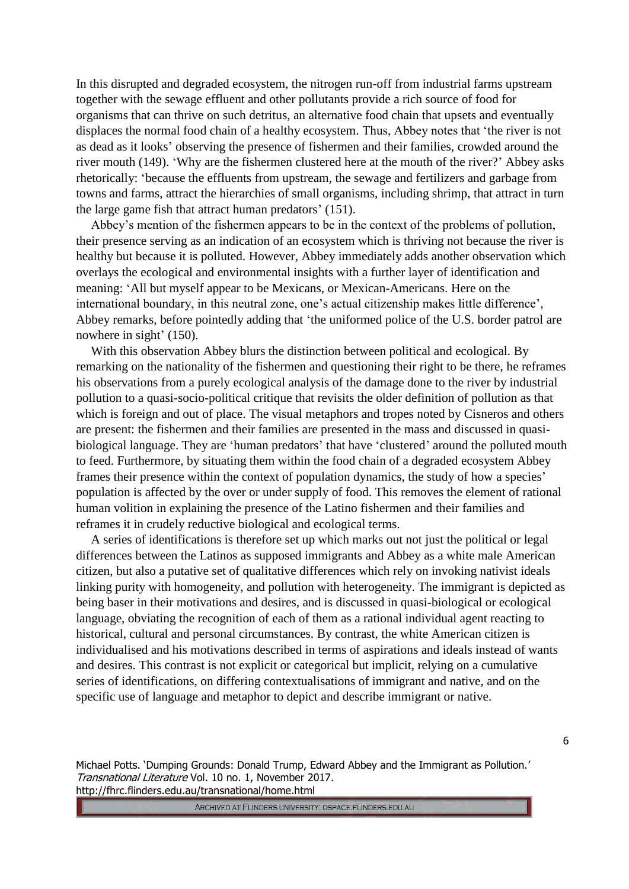In this disrupted and degraded ecosystem, the nitrogen run-off from industrial farms upstream together with the sewage effluent and other pollutants provide a rich source of food for organisms that can thrive on such detritus, an alternative food chain that upsets and eventually displaces the normal food chain of a healthy ecosystem. Thus, Abbey notes that 'the river is not as dead as it looks' observing the presence of fishermen and their families, crowded around the river mouth (149). 'Why are the fishermen clustered here at the mouth of the river?' Abbey asks rhetorically: 'because the effluents from upstream, the sewage and fertilizers and garbage from towns and farms, attract the hierarchies of small organisms, including shrimp, that attract in turn the large game fish that attract human predators' (151).

Abbey's mention of the fishermen appears to be in the context of the problems of pollution, their presence serving as an indication of an ecosystem which is thriving not because the river is healthy but because it is polluted. However, Abbey immediately adds another observation which overlays the ecological and environmental insights with a further layer of identification and meaning: 'All but myself appear to be Mexicans, or Mexican-Americans. Here on the international boundary, in this neutral zone, one's actual citizenship makes little difference', Abbey remarks, before pointedly adding that 'the uniformed police of the U.S. border patrol are nowhere in sight' (150).

With this observation Abbey blurs the distinction between political and ecological. By remarking on the nationality of the fishermen and questioning their right to be there, he reframes his observations from a purely ecological analysis of the damage done to the river by industrial pollution to a quasi-socio-political critique that revisits the older definition of pollution as that which is foreign and out of place. The visual metaphors and tropes noted by Cisneros and others are present: the fishermen and their families are presented in the mass and discussed in quasibiological language. They are 'human predators' that have 'clustered' around the polluted mouth to feed. Furthermore, by situating them within the food chain of a degraded ecosystem Abbey frames their presence within the context of population dynamics, the study of how a species' population is affected by the over or under supply of food. This removes the element of rational human volition in explaining the presence of the Latino fishermen and their families and reframes it in crudely reductive biological and ecological terms.

A series of identifications is therefore set up which marks out not just the political or legal differences between the Latinos as supposed immigrants and Abbey as a white male American citizen, but also a putative set of qualitative differences which rely on invoking nativist ideals linking purity with homogeneity, and pollution with heterogeneity. The immigrant is depicted as being baser in their motivations and desires, and is discussed in quasi-biological or ecological language, obviating the recognition of each of them as a rational individual agent reacting to historical, cultural and personal circumstances. By contrast, the white American citizen is individualised and his motivations described in terms of aspirations and ideals instead of wants and desires. This contrast is not explicit or categorical but implicit, relying on a cumulative series of identifications, on differing contextualisations of immigrant and native, and on the specific use of language and metaphor to depict and describe immigrant or native.

Michael Potts. 'Dumping Grounds: Donald Trump, Edward Abbey and the Immigrant as Pollution.' Transnational Literature Vol. 10 no. 1, November 2017. http://fhrc.flinders.edu.au/transnational/home.html

ARCHIVED AT FLINDERS UNIVERSITY: DSPACE.FLINDERS.EDU.AU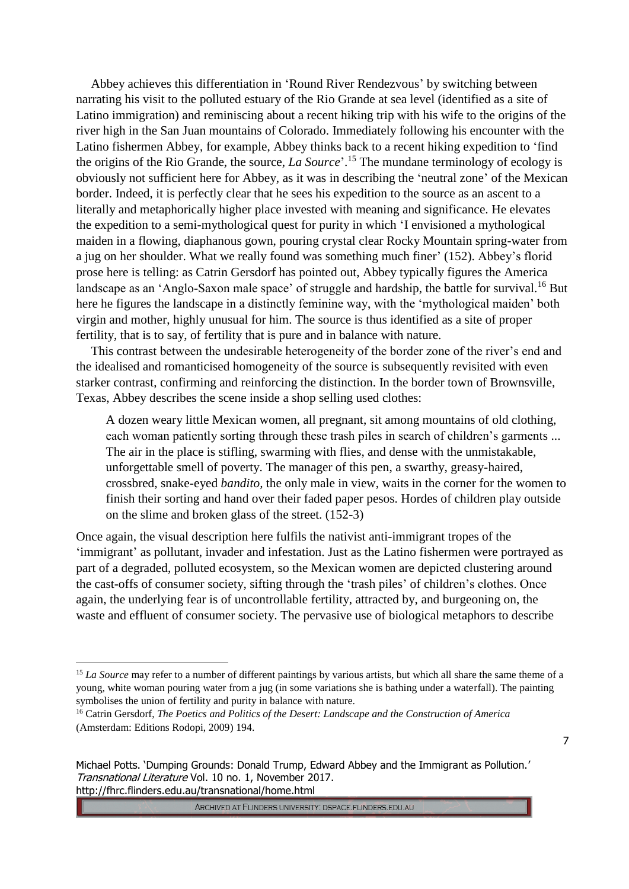Abbey achieves this differentiation in 'Round River Rendezvous' by switching between narrating his visit to the polluted estuary of the Rio Grande at sea level (identified as a site of Latino immigration) and reminiscing about a recent hiking trip with his wife to the origins of the river high in the San Juan mountains of Colorado. Immediately following his encounter with the Latino fishermen Abbey, for example, Abbey thinks back to a recent hiking expedition to 'find the origins of the Rio Grande, the source, *La Source*'. <sup>15</sup> The mundane terminology of ecology is obviously not sufficient here for Abbey, as it was in describing the 'neutral zone' of the Mexican border. Indeed, it is perfectly clear that he sees his expedition to the source as an ascent to a literally and metaphorically higher place invested with meaning and significance. He elevates the expedition to a semi-mythological quest for purity in which 'I envisioned a mythological maiden in a flowing, diaphanous gown, pouring crystal clear Rocky Mountain spring-water from a jug on her shoulder. What we really found was something much finer' (152). Abbey's florid prose here is telling: as Catrin Gersdorf has pointed out, Abbey typically figures the America landscape as an 'Anglo-Saxon male space' of struggle and hardship, the battle for survival.<sup>16</sup> But here he figures the landscape in a distinctly feminine way, with the 'mythological maiden' both virgin and mother, highly unusual for him. The source is thus identified as a site of proper fertility, that is to say, of fertility that is pure and in balance with nature.

This contrast between the undesirable heterogeneity of the border zone of the river's end and the idealised and romanticised homogeneity of the source is subsequently revisited with even starker contrast, confirming and reinforcing the distinction. In the border town of Brownsville, Texas, Abbey describes the scene inside a shop selling used clothes:

A dozen weary little Mexican women, all pregnant, sit among mountains of old clothing, each woman patiently sorting through these trash piles in search of children's garments ... The air in the place is stifling, swarming with flies, and dense with the unmistakable, unforgettable smell of poverty. The manager of this pen, a swarthy, greasy-haired, crossbred, snake-eyed *bandito,* the only male in view, waits in the corner for the women to finish their sorting and hand over their faded paper pesos. Hordes of children play outside on the slime and broken glass of the street. (152-3)

Once again, the visual description here fulfils the nativist anti-immigrant tropes of the 'immigrant' as pollutant, invader and infestation. Just as the Latino fishermen were portrayed as part of a degraded, polluted ecosystem, so the Mexican women are depicted clustering around the cast-offs of consumer society, sifting through the 'trash piles' of children's clothes. Once again, the underlying fear is of uncontrollable fertility, attracted by, and burgeoning on, the waste and effluent of consumer society. The pervasive use of biological metaphors to describe

<u>.</u>

ARCHIVED AT FLINDERS UNIVERSITY: DSPACE.FLINDERS.EDU.AU

<sup>&</sup>lt;sup>15</sup> *La Source* may refer to a number of different paintings by various artists, but which all share the same theme of a young, white woman pouring water from a jug (in some variations she is bathing under a waterfall). The painting symbolises the union of fertility and purity in balance with nature.

<sup>16</sup> Catrin Gersdorf, *The Poetics and Politics of the Desert: Landscape and the Construction of America* (Amsterdam: Editions Rodopi, 2009) 194.

Michael Potts. 'Dumping Grounds: Donald Trump, Edward Abbey and the Immigrant as Pollution.' Transnational Literature Vol. 10 no. 1, November 2017. http://fhrc.flinders.edu.au/transnational/home.html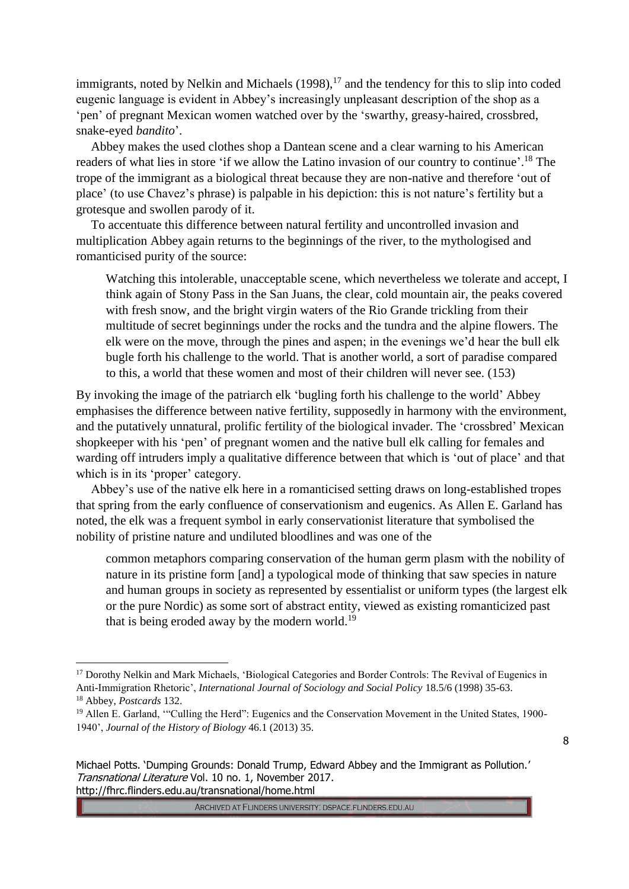immigrants, noted by Nelkin and Michaels  $(1998)$ ,<sup>17</sup> and the tendency for this to slip into coded eugenic language is evident in Abbey's increasingly unpleasant description of the shop as a 'pen' of pregnant Mexican women watched over by the 'swarthy, greasy-haired, crossbred, snake-eyed *bandito*'.

Abbey makes the used clothes shop a Dantean scene and a clear warning to his American readers of what lies in store 'if we allow the Latino invasion of our country to continue'.<sup>18</sup> The trope of the immigrant as a biological threat because they are non-native and therefore 'out of place' (to use Chavez's phrase) is palpable in his depiction: this is not nature's fertility but a grotesque and swollen parody of it.

To accentuate this difference between natural fertility and uncontrolled invasion and multiplication Abbey again returns to the beginnings of the river, to the mythologised and romanticised purity of the source:

Watching this intolerable, unacceptable scene, which nevertheless we tolerate and accept, I think again of Stony Pass in the San Juans, the clear, cold mountain air, the peaks covered with fresh snow, and the bright virgin waters of the Rio Grande trickling from their multitude of secret beginnings under the rocks and the tundra and the alpine flowers. The elk were on the move, through the pines and aspen; in the evenings we'd hear the bull elk bugle forth his challenge to the world. That is another world, a sort of paradise compared to this, a world that these women and most of their children will never see. (153)

By invoking the image of the patriarch elk 'bugling forth his challenge to the world' Abbey emphasises the difference between native fertility, supposedly in harmony with the environment, and the putatively unnatural, prolific fertility of the biological invader. The 'crossbred' Mexican shopkeeper with his 'pen' of pregnant women and the native bull elk calling for females and warding off intruders imply a qualitative difference between that which is 'out of place' and that which is in its 'proper' category.

Abbey's use of the native elk here in a romanticised setting draws on long-established tropes that spring from the early confluence of conservationism and eugenics. As Allen E. Garland has noted, the elk was a frequent symbol in early conservationist literature that symbolised the nobility of pristine nature and undiluted bloodlines and was one of the

common metaphors comparing conservation of the human germ plasm with the nobility of nature in its pristine form [and] a typological mode of thinking that saw species in nature and human groups in society as represented by essentialist or uniform types (the largest elk or the pure Nordic) as some sort of abstract entity, viewed as existing romanticized past that is being eroded away by the modern world.<sup>19</sup>

<u>.</u>

<sup>&</sup>lt;sup>17</sup> Dorothy Nelkin and Mark Michaels, 'Biological Categories and Border Controls: The Revival of Eugenics in Anti-Immigration Rhetoric', *International Journal of Sociology and Social Policy* 18.5/6 (1998) 35-63. <sup>18</sup> Abbey, *Postcards* 132.

<sup>&</sup>lt;sup>19</sup> Allen E. Garland, "Culling the Herd": Eugenics and the Conservation Movement in the United States, 1900-1940', *Journal of the History of Biology* 46.1 (2013) 35.

Michael Potts. 'Dumping Grounds: Donald Trump, Edward Abbey and the Immigrant as Pollution.' Transnational Literature Vol. 10 no. 1, November 2017. http://fhrc.flinders.edu.au/transnational/home.html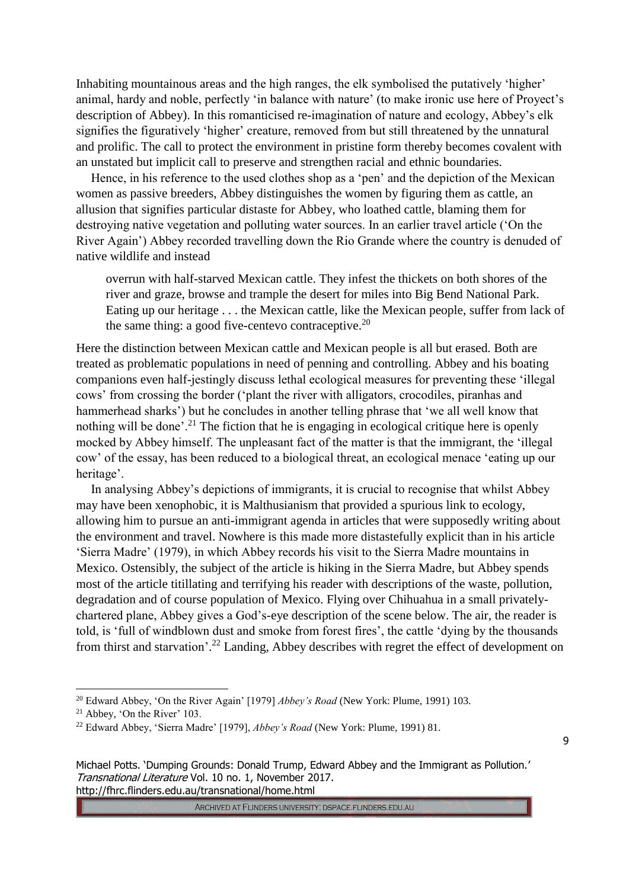Inhabiting mountainous areas and the high ranges, the elk symbolised the putatively 'higher' animal, hardy and noble, perfectly 'in balance with nature' (to make ironic use here of Proyect's description of Abbey). In this romanticised re-imagination of nature and ecology, Abbey's elk signifies the figuratively 'higher' creature, removed from but still threatened by the unnatural and prolific. The call to protect the environment in pristine form thereby becomes covalent with an unstated but implicit call to preserve and strengthen racial and ethnic boundaries.

Hence, in his reference to the used clothes shop as a 'pen' and the depiction of the Mexican women as passive breeders, Abbey distinguishes the women by figuring them as cattle, an allusion that signifies particular distaste for Abbey, who loathed cattle, blaming them for destroying native vegetation and polluting water sources. In an earlier travel article ('On the River Again') Abbey recorded travelling down the Rio Grande where the country is denuded of native wildlife and instead

overrun with half-starved Mexican cattle. They infest the thickets on both shores of the river and graze, browse and trample the desert for miles into Big Bend National Park. Eating up our heritage . . . the Mexican cattle, like the Mexican people, suffer from lack of the same thing: a good five-centevo contraceptive.<sup>20</sup>

Here the distinction between Mexican cattle and Mexican people is all but erased. Both are treated as problematic populations in need of penning and controlling. Abbey and his boating companions even half-jestingly discuss lethal ecological measures for preventing these 'illegal cows' from crossing the border ('plant the river with alligators, crocodiles, piranhas and hammerhead sharks') but he concludes in another telling phrase that 'we all well know that nothing will be done'.<sup>21</sup> The fiction that he is engaging in ecological critique here is openly mocked by Abbey himself. The unpleasant fact of the matter is that the immigrant, the 'illegal cow' of the essay, has been reduced to a biological threat, an ecological menace 'eating up our heritage'.

In analysing Abbey's depictions of immigrants, it is crucial to recognise that whilst Abbey may have been xenophobic, it is Malthusianism that provided a spurious link to ecology, allowing him to pursue an anti-immigrant agenda in articles that were supposedly writing about the environment and travel. Nowhere is this made more distastefully explicit than in his article 'Sierra Madre' (1979), in which Abbey records his visit to the Sierra Madre mountains in Mexico. Ostensibly, the subject of the article is hiking in the Sierra Madre, but Abbey spends most of the article titillating and terrifying his reader with descriptions of the waste, pollution, degradation and of course population of Mexico. Flying over Chihuahua in a small privatelychartered plane, Abbey gives a God's-eye description of the scene below. The air, the reader is told, is 'full of windblown dust and smoke from forest fires', the cattle 'dying by the thousands from thirst and starvation'.<sup>22</sup> Landing, Abbey describes with regret the effect of development on

<u>.</u>

ARCHIVED AT FLINDERS UNIVERSITY: DSPACE.FLINDERS.EDU.AU

<sup>20</sup> Edward Abbey, 'On the River Again' [1979] *Abbey's Road* (New York: Plume, 1991) 103.

<sup>21</sup> Abbey, 'On the River' 103.

<sup>22</sup> Edward Abbey, 'Sierra Madre' [1979], *Abbey's Road* (New York: Plume, 1991) 81.

Michael Potts. 'Dumping Grounds: Donald Trump, Edward Abbey and the Immigrant as Pollution.' Transnational Literature Vol. 10 no. 1, November 2017. http://fhrc.flinders.edu.au/transnational/home.html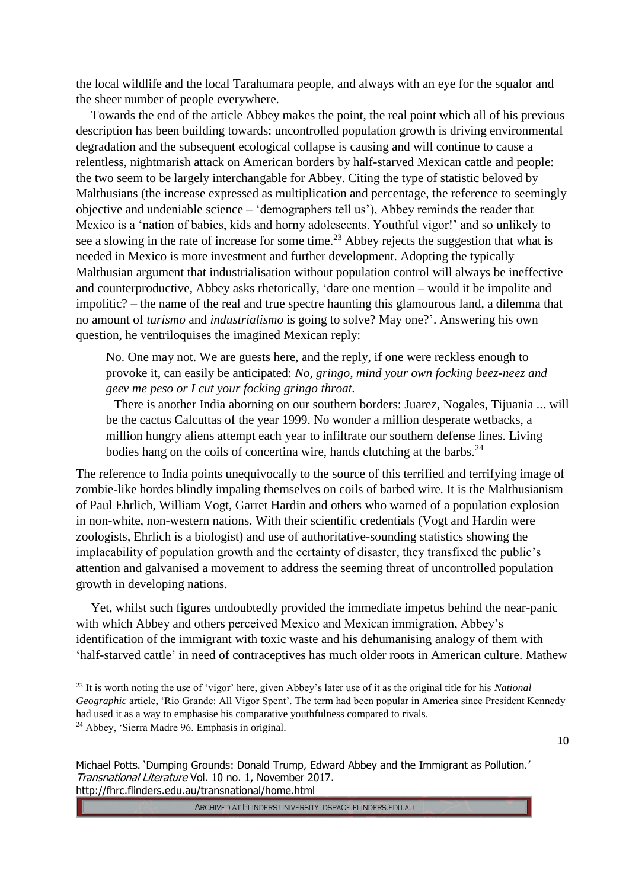the local wildlife and the local Tarahumara people, and always with an eye for the squalor and the sheer number of people everywhere.

Towards the end of the article Abbey makes the point, the real point which all of his previous description has been building towards: uncontrolled population growth is driving environmental degradation and the subsequent ecological collapse is causing and will continue to cause a relentless, nightmarish attack on American borders by half-starved Mexican cattle and people: the two seem to be largely interchangable for Abbey. Citing the type of statistic beloved by Malthusians (the increase expressed as multiplication and percentage, the reference to seemingly objective and undeniable science – 'demographers tell us'), Abbey reminds the reader that Mexico is a 'nation of babies, kids and horny adolescents. Youthful vigor!' and so unlikely to see a slowing in the rate of increase for some time.<sup>23</sup> Abbey rejects the suggestion that what is needed in Mexico is more investment and further development. Adopting the typically Malthusian argument that industrialisation without population control will always be ineffective and counterproductive, Abbey asks rhetorically, 'dare one mention – would it be impolite and impolitic? – the name of the real and true spectre haunting this glamourous land, a dilemma that no amount of *turismo* and *industrialismo* is going to solve? May one?'. Answering his own question, he ventriloquises the imagined Mexican reply:

No. One may not. We are guests here, and the reply, if one were reckless enough to provoke it, can easily be anticipated: *No, gringo, mind your own focking beez-neez and geev me peso or I cut your focking gringo throat.*

There is another India aborning on our southern borders: Juarez, Nogales, Tijuania ... will be the cactus Calcuttas of the year 1999. No wonder a million desperate wetbacks, a million hungry aliens attempt each year to infiltrate our southern defense lines. Living bodies hang on the coils of concertina wire, hands clutching at the barbs. $^{24}$ 

The reference to India points unequivocally to the source of this terrified and terrifying image of zombie-like hordes blindly impaling themselves on coils of barbed wire. It is the Malthusianism of Paul Ehrlich, William Vogt, Garret Hardin and others who warned of a population explosion in non-white, non-western nations. With their scientific credentials (Vogt and Hardin were zoologists, Ehrlich is a biologist) and use of authoritative-sounding statistics showing the implacability of population growth and the certainty of disaster, they transfixed the public's attention and galvanised a movement to address the seeming threat of uncontrolled population growth in developing nations.

Yet, whilst such figures undoubtedly provided the immediate impetus behind the near-panic with which Abbey and others perceived Mexico and Mexican immigration, Abbey's identification of the immigrant with toxic waste and his dehumanising analogy of them with 'half-starved cattle' in need of contraceptives has much older roots in American culture. Mathew

<u>.</u>

<sup>23</sup> It is worth noting the use of 'vigor' here, given Abbey's later use of it as the original title for his *National Geographic* article, 'Rio Grande: All Vigor Spent'. The term had been popular in America since President Kennedy had used it as a way to emphasise his comparative youthfulness compared to rivals. <sup>24</sup> Abbey, 'Sierra Madre 96. Emphasis in original.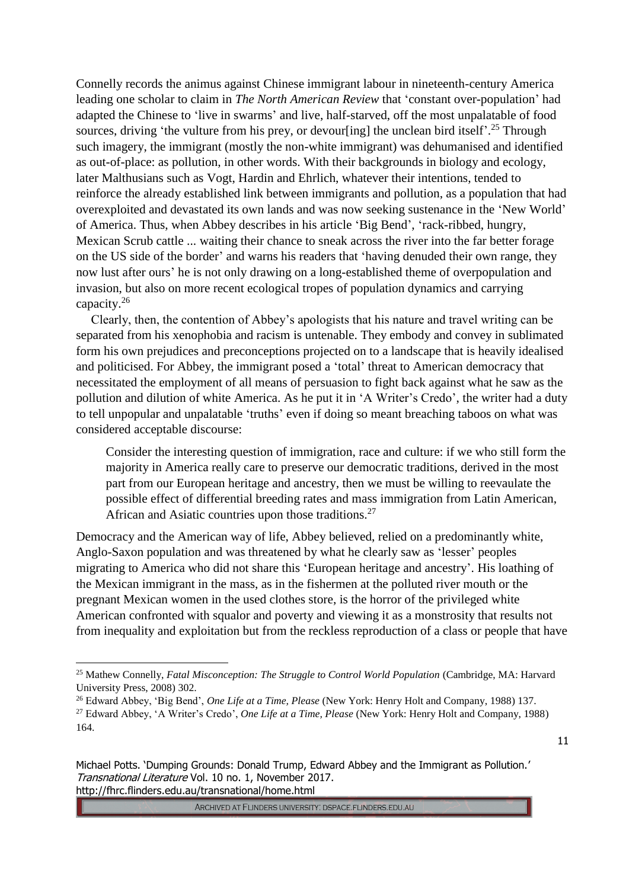Connelly records the animus against Chinese immigrant labour in nineteenth-century America leading one scholar to claim in *The North American Review* that 'constant over-population' had adapted the Chinese to 'live in swarms' and live, half-starved, off the most unpalatable of food sources, driving 'the vulture from his prey, or devour[ing] the unclean bird itself'.<sup>25</sup> Through such imagery, the immigrant (mostly the non-white immigrant) was dehumanised and identified as out-of-place: as pollution, in other words. With their backgrounds in biology and ecology, later Malthusians such as Vogt, Hardin and Ehrlich, whatever their intentions, tended to reinforce the already established link between immigrants and pollution, as a population that had overexploited and devastated its own lands and was now seeking sustenance in the 'New World' of America. Thus, when Abbey describes in his article 'Big Bend', 'rack-ribbed, hungry, Mexican Scrub cattle ... waiting their chance to sneak across the river into the far better forage on the US side of the border' and warns his readers that 'having denuded their own range, they now lust after ours' he is not only drawing on a long-established theme of overpopulation and invasion, but also on more recent ecological tropes of population dynamics and carrying capacity. 26

Clearly, then, the contention of Abbey's apologists that his nature and travel writing can be separated from his xenophobia and racism is untenable. They embody and convey in sublimated form his own prejudices and preconceptions projected on to a landscape that is heavily idealised and politicised. For Abbey, the immigrant posed a 'total' threat to American democracy that necessitated the employment of all means of persuasion to fight back against what he saw as the pollution and dilution of white America. As he put it in 'A Writer's Credo', the writer had a duty to tell unpopular and unpalatable 'truths' even if doing so meant breaching taboos on what was considered acceptable discourse:

Consider the interesting question of immigration, race and culture: if we who still form the majority in America really care to preserve our democratic traditions, derived in the most part from our European heritage and ancestry, then we must be willing to reevaulate the possible effect of differential breeding rates and mass immigration from Latin American, African and Asiatic countries upon those traditions.<sup>27</sup>

Democracy and the American way of life, Abbey believed, relied on a predominantly white, Anglo-Saxon population and was threatened by what he clearly saw as 'lesser' peoples migrating to America who did not share this 'European heritage and ancestry'. His loathing of the Mexican immigrant in the mass, as in the fishermen at the polluted river mouth or the pregnant Mexican women in the used clothes store, is the horror of the privileged white American confronted with squalor and poverty and viewing it as a monstrosity that results not from inequality and exploitation but from the reckless reproduction of a class or people that have

<u>.</u>

<sup>&</sup>lt;sup>25</sup> Mathew Connelly, *Fatal Misconception: The Struggle to Control World Population (Cambridge, MA: Harvard* University Press, 2008) 302.

<sup>26</sup> Edward Abbey, 'Big Bend', *One Life at a Time, Please* (New York: Henry Holt and Company, 1988) 137.

<sup>27</sup> Edward Abbey, 'A Writer's Credo', *One Life at a Time, Please* (New York: Henry Holt and Company, 1988) 164.

Michael Potts. 'Dumping Grounds: Donald Trump, Edward Abbey and the Immigrant as Pollution.' Transnational Literature Vol. 10 no. 1, November 2017. http://fhrc.flinders.edu.au/transnational/home.html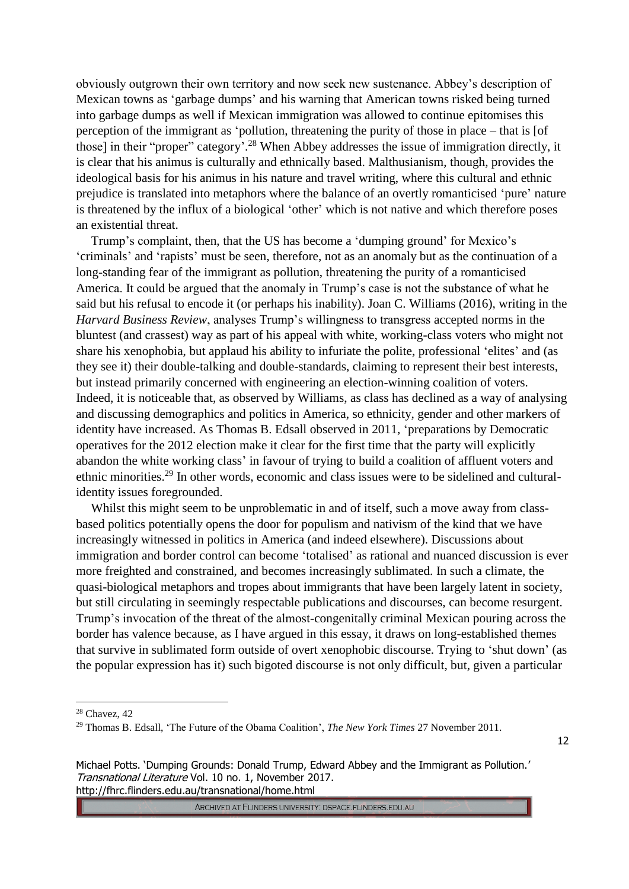obviously outgrown their own territory and now seek new sustenance. Abbey's description of Mexican towns as 'garbage dumps' and his warning that American towns risked being turned into garbage dumps as well if Mexican immigration was allowed to continue epitomises this perception of the immigrant as 'pollution, threatening the purity of those in place – that is [of those] in their "proper" category'.<sup>28</sup> When Abbey addresses the issue of immigration directly, it is clear that his animus is culturally and ethnically based. Malthusianism, though, provides the ideological basis for his animus in his nature and travel writing, where this cultural and ethnic prejudice is translated into metaphors where the balance of an overtly romanticised 'pure' nature is threatened by the influx of a biological 'other' which is not native and which therefore poses an existential threat.

Trump's complaint, then, that the US has become a 'dumping ground' for Mexico's 'criminals' and 'rapists' must be seen, therefore, not as an anomaly but as the continuation of a long-standing fear of the immigrant as pollution, threatening the purity of a romanticised America. It could be argued that the anomaly in Trump's case is not the substance of what he said but his refusal to encode it (or perhaps his inability). Joan C. Williams (2016), writing in the *Harvard Business Review*, analyses Trump's willingness to transgress accepted norms in the bluntest (and crassest) way as part of his appeal with white, working-class voters who might not share his xenophobia, but applaud his ability to infuriate the polite, professional 'elites' and (as they see it) their double-talking and double-standards, claiming to represent their best interests, but instead primarily concerned with engineering an election-winning coalition of voters. Indeed, it is noticeable that, as observed by Williams, as class has declined as a way of analysing and discussing demographics and politics in America, so ethnicity, gender and other markers of identity have increased. As Thomas B. Edsall observed in 2011, 'preparations by Democratic operatives for the 2012 election make it clear for the first time that the party will explicitly abandon the white working class' in favour of trying to build a coalition of affluent voters and ethnic minorities.<sup>29</sup> In other words, economic and class issues were to be sidelined and culturalidentity issues foregrounded.

Whilst this might seem to be unproblematic in and of itself, such a move away from classbased politics potentially opens the door for populism and nativism of the kind that we have increasingly witnessed in politics in America (and indeed elsewhere). Discussions about immigration and border control can become 'totalised' as rational and nuanced discussion is ever more freighted and constrained, and becomes increasingly sublimated. In such a climate, the quasi-biological metaphors and tropes about immigrants that have been largely latent in society, but still circulating in seemingly respectable publications and discourses, can become resurgent. Trump's invocation of the threat of the almost-congenitally criminal Mexican pouring across the border has valence because, as I have argued in this essay, it draws on long-established themes that survive in sublimated form outside of overt xenophobic discourse. Trying to 'shut down' (as the popular expression has it) such bigoted discourse is not only difficult, but, given a particular

1

ARCHIVED AT FLINDERS UNIVERSITY: DSPACE.FLINDERS.EDU.AU

<sup>28</sup> Chavez, 42

<sup>29</sup> Thomas B. Edsall, 'The Future of the Obama Coalition', *The New York Times* 27 November 2011.

Michael Potts. 'Dumping Grounds: Donald Trump, Edward Abbey and the Immigrant as Pollution.' Transnational Literature Vol. 10 no. 1, November 2017. http://fhrc.flinders.edu.au/transnational/home.html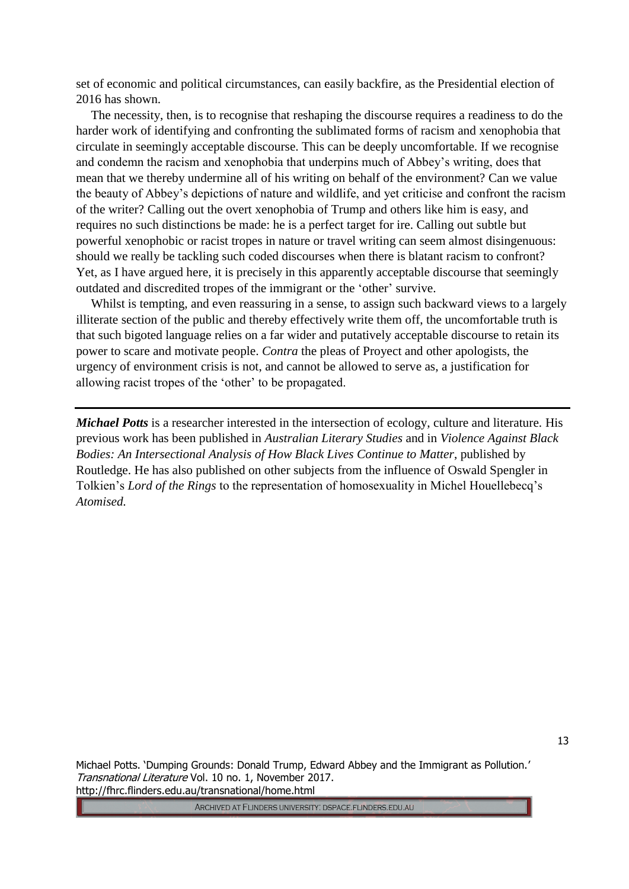set of economic and political circumstances, can easily backfire, as the Presidential election of 2016 has shown.

The necessity, then, is to recognise that reshaping the discourse requires a readiness to do the harder work of identifying and confronting the sublimated forms of racism and xenophobia that circulate in seemingly acceptable discourse. This can be deeply uncomfortable. If we recognise and condemn the racism and xenophobia that underpins much of Abbey's writing, does that mean that we thereby undermine all of his writing on behalf of the environment? Can we value the beauty of Abbey's depictions of nature and wildlife, and yet criticise and confront the racism of the writer? Calling out the overt xenophobia of Trump and others like him is easy, and requires no such distinctions be made: he is a perfect target for ire. Calling out subtle but powerful xenophobic or racist tropes in nature or travel writing can seem almost disingenuous: should we really be tackling such coded discourses when there is blatant racism to confront? Yet, as I have argued here, it is precisely in this apparently acceptable discourse that seemingly outdated and discredited tropes of the immigrant or the 'other' survive.

Whilst is tempting, and even reassuring in a sense, to assign such backward views to a largely illiterate section of the public and thereby effectively write them off, the uncomfortable truth is that such bigoted language relies on a far wider and putatively acceptable discourse to retain its power to scare and motivate people. *Contra* the pleas of Proyect and other apologists, the urgency of environment crisis is not, and cannot be allowed to serve as, a justification for allowing racist tropes of the 'other' to be propagated.

*Michael Potts* is a researcher interested in the intersection of ecology, culture and literature. His previous work has been published in *Australian Literary Studies* and in *Violence Against Black Bodies: An Intersectional Analysis of How Black Lives Continue to Matter*, published by Routledge. He has also published on other subjects from the influence of Oswald Spengler in Tolkien's *Lord of the Rings* to the representation of homosexuality in Michel Houellebecq's *Atomised.*

Michael Potts. 'Dumping Grounds: Donald Trump, Edward Abbey and the Immigrant as Pollution.' Transnational Literature Vol. 10 no. 1, November 2017. http://fhrc.flinders.edu.au/transnational/home.html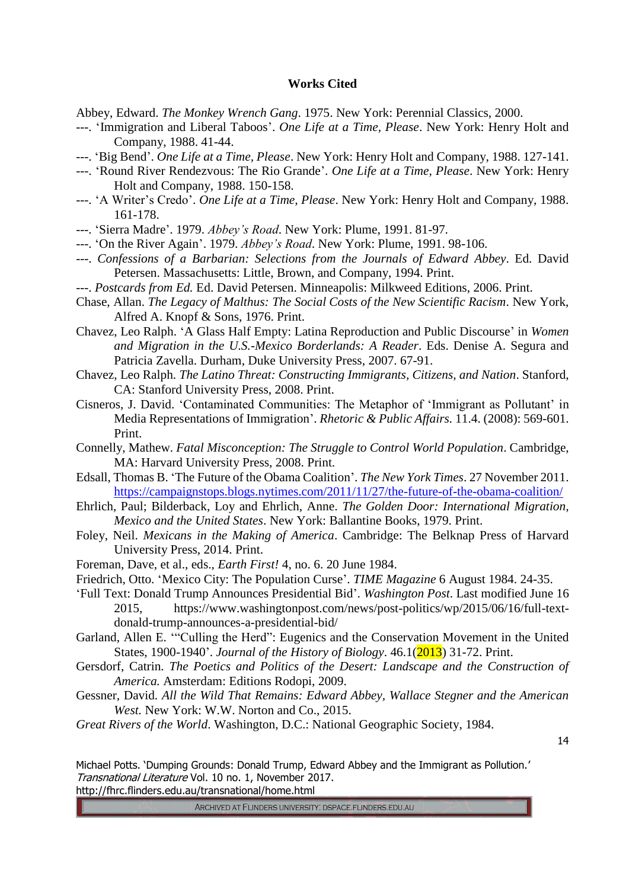## **Works Cited**

Abbey, Edward. *The Monkey Wrench Gang*. 1975. New York: Perennial Classics, 2000.

- ---. 'Immigration and Liberal Taboos'. *One Life at a Time, Please*. New York: Henry Holt and Company, 1988. 41-44.
- ---. 'Big Bend'. *One Life at a Time, Please*. New York: Henry Holt and Company, 1988. 127-141.
- ---. 'Round River Rendezvous: The Rio Grande'. *One Life at a Time, Please*. New York: Henry Holt and Company, 1988. 150-158.
- ---. 'A Writer's Credo'. *One Life at a Time, Please*. New York: Henry Holt and Company, 1988. 161-178.
- ---. 'Sierra Madre'. 1979. *Abbey's Road*. New York: Plume, 1991. 81-97.
- ---. 'On the River Again'. 1979. *Abbey's Road*. New York: Plume, 1991. 98-106.
- ---. *Confessions of a Barbarian: Selections from the Journals of Edward Abbey*. Ed. David Petersen. Massachusetts: Little, Brown, and Company, 1994. Print.
- ---. *Postcards from Ed.* Ed. David Petersen. Minneapolis: Milkweed Editions, 2006. Print.
- Chase, Allan. *The Legacy of Malthus: The Social Costs of the New Scientific Racism*. New York, Alfred A. Knopf & Sons, 1976. Print.
- Chavez, Leo Ralph. 'A Glass Half Empty: Latina Reproduction and Public Discourse' in *Women and Migration in the U.S.-Mexico Borderlands: A Reader*. Eds. Denise A. Segura and Patricia Zavella. Durham, Duke University Press, 2007. 67-91.
- Chavez, Leo Ralph. *The Latino Threat: Constructing Immigrants, Citizens, and Nation*. Stanford, CA: Stanford University Press, 2008. Print.
- Cisneros, J. David. 'Contaminated Communities: The Metaphor of 'Immigrant as Pollutant' in Media Representations of Immigration'. *Rhetoric & Public Affairs.* 11.4. (2008): 569-601. Print.
- Connelly, Mathew. *Fatal Misconception: The Struggle to Control World Population*. Cambridge, MA: Harvard University Press, 2008. Print.
- Edsall, Thomas B. 'The Future of the Obama Coalition'. *The New York Times*. 27 November 2011. <https://campaignstops.blogs.nytimes.com/2011/11/27/the-future-of-the-obama-coalition/>
- Ehrlich, Paul; Bilderback, Loy and Ehrlich, Anne. *The Golden Door: International Migration, Mexico and the United States*. New York: Ballantine Books, 1979. Print.
- Foley, Neil. *Mexicans in the Making of America*. Cambridge: The Belknap Press of Harvard University Press, 2014. Print.
- Foreman, Dave, et al., eds., *Earth First!* 4, no. 6. 20 June 1984.
- Friedrich, Otto. 'Mexico City: The Population Curse'. *TIME Magazine* 6 August 1984. 24-35.

'Full Text: Donald Trump Announces Presidential Bid'. *Washington Post*. Last modified June 16 2015, https://www.washingtonpost.com/news/post-politics/wp/2015/06/16/full-textdonald-trump-announces-a-presidential-bid/

Garland, Allen E. '"Culling the Herd": Eugenics and the Conservation Movement in the United States, 1900-1940'. *Journal of the History of Biology*. 46.1(2013) 31-72. Print.

- Gersdorf, Catrin. *The Poetics and Politics of the Desert: Landscape and the Construction of America.* Amsterdam: Editions Rodopi, 2009.
- Gessner, David. *All the Wild That Remains: Edward Abbey, Wallace Stegner and the American West.* New York: W.W. Norton and Co., 2015.

*Great Rivers of the World*. Washington, D.C.: National Geographic Society, 1984.

14

Michael Potts. 'Dumping Grounds: Donald Trump, Edward Abbey and the Immigrant as Pollution.' Transnational Literature Vol. 10 no. 1, November 2017. http://fhrc.flinders.edu.au/transnational/home.html